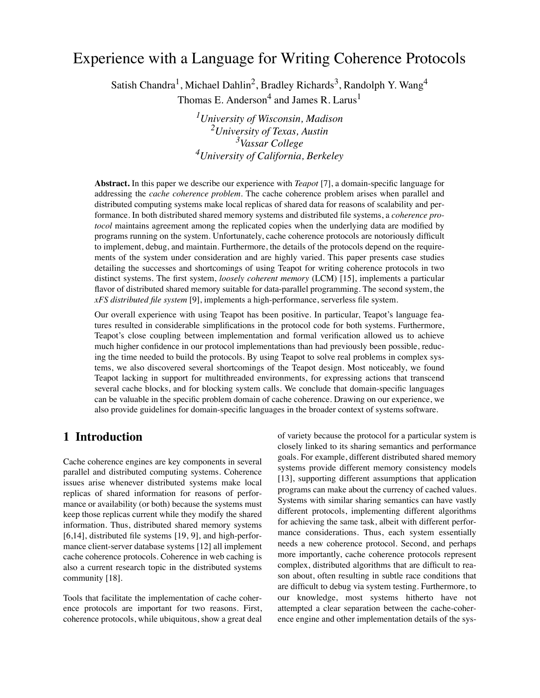# Experience with a Language for Writing Coherence Protocols

Satish Chandra<sup>1</sup>, Michael Dahlin<sup>2</sup>, Bradley Richards<sup>3</sup>, Randolph Y. Wang<sup>4</sup> Thomas E. Anderson $^4$  and James R. Larus $^1$ 

> *1University of Wisconsin, Madison 2University of Texas, Austin 3 Vassar College 4University of California, Berkeley*

**Abstract.** In this paper we describe our experience with *Teapot* [7], a domain-specific language for addressing the *cache coherence problem*. The cache coherence problem arises when parallel and distributed computing systems make local replicas of shared data for reasons of scalability and performance. In both distributed shared memory systems and distributed file systems, a *coherence protocol* maintains agreement among the replicated copies when the underlying data are modified by programs running on the system. Unfortunately, cache coherence protocols are notoriously difficult to implement, debug, and maintain. Furthermore, the details of the protocols depend on the requirements of the system under consideration and are highly varied. This paper presents case studies detailing the successes and shortcomings of using Teapot for writing coherence protocols in two distinct systems. The first system, *loosely coherent memory* (LCM) [15], implements a particular flavor of distributed shared memory suitable for data-parallel programming. The second system, the *xFS distributed file system* [9], implements a high-performance, serverless file system.

Our overall experience with using Teapot has been positive. In particular, Teapot's language features resulted in considerable simplifications in the protocol code for both systems. Furthermore, Teapot's close coupling between implementation and formal verification allowed us to achieve much higher confidence in our protocol implementations than had previously been possible, reducing the time needed to build the protocols. By using Teapot to solve real problems in complex systems, we also discovered several shortcomings of the Teapot design. Most noticeably, we found Teapot lacking in support for multithreaded environments, for expressing actions that transcend several cache blocks, and for blocking system calls. We conclude that domain-specific languages can be valuable in the specific problem domain of cache coherence. Drawing on our experience, we also provide guidelines for domain-specific languages in the broader context of systems software.

## **1 Introduction**

Cache coherence engines are key components in several parallel and distributed computing systems. Coherence issues arise whenever distributed systems make local replicas of shared information for reasons of performance or availability (or both) because the systems must keep those replicas current while they modify the shared information. Thus, distributed shared memory systems [6,14], distributed file systems [19, 9], and high-performance client-server database systems [12] all implement cache coherence protocols. Coherence in web caching is also a current research topic in the distributed systems community [18].

Tools that facilitate the implementation of cache coherence protocols are important for two reasons. First, coherence protocols, while ubiquitous, show a great deal of variety because the protocol for a particular system is closely linked to its sharing semantics and performance goals. For example, different distributed shared memory systems provide different memory consistency models [13], supporting different assumptions that application programs can make about the currency of cached values. Systems with similar sharing semantics can have vastly different protocols, implementing different algorithms for achieving the same task, albeit with different performance considerations. Thus, each system essentially needs a new coherence protocol. Second, and perhaps more importantly, cache coherence protocols represent complex, distributed algorithms that are difficult to reason about, often resulting in subtle race conditions that are difficult to debug via system testing. Furthermore, to our knowledge, most systems hitherto have not attempted a clear separation between the cache-coherence engine and other implementation details of the sys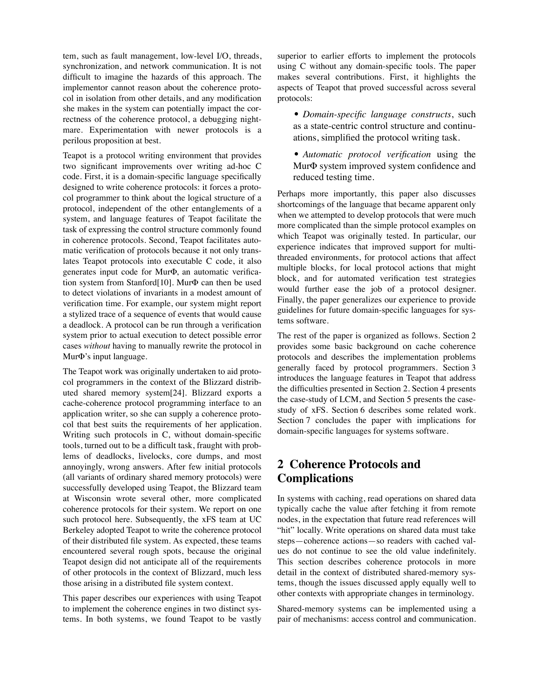tem, such as fault management, low-level I/O, threads, synchronization, and network communication. It is not difficult to imagine the hazards of this approach. The implementor cannot reason about the coherence protocol in isolation from other details, and any modification she makes in the system can potentially impact the correctness of the coherence protocol, a debugging nightmare. Experimentation with newer protocols is a perilous proposition at best.

Teapot is a protocol writing environment that provides two significant improvements over writing ad-hoc C code. First, it is a domain-specific language specifically designed to write coherence protocols: it forces a protocol programmer to think about the logical structure of a protocol, independent of the other entanglements of a system, and language features of Teapot facilitate the task of expressing the control structure commonly found in coherence protocols. Second, Teapot facilitates automatic verification of protocols because it not only translates Teapot protocols into executable C code, it also generates input code for Mur $\Phi$ , an automatic verification system from Stanford[10]. Mur $\Phi$  can then be used to detect violations of invariants in a modest amount of verification time. For example, our system might report a stylized trace of a sequence of events that would cause a deadlock. A protocol can be run through a verification system prior to actual execution to detect possible error cases *without* having to manually rewrite the protocol in Mur $\Phi$ 's input language.

The Teapot work was originally undertaken to aid protocol programmers in the context of the Blizzard distributed shared memory system[24]. Blizzard exports a cache-coherence protocol programming interface to an application writer, so she can supply a coherence protocol that best suits the requirements of her application. Writing such protocols in C, without domain-specific tools, turned out to be a difficult task, fraught with problems of deadlocks, livelocks, core dumps, and most annoyingly, wrong answers. After few initial protocols (all variants of ordinary shared memory protocols) were successfully developed using Teapot, the Blizzard team at Wisconsin wrote several other, more complicated coherence protocols for their system. We report on one such protocol here. Subsequently, the xFS team at UC Berkeley adopted Teapot to write the coherence protocol of their distributed file system. As expected, these teams encountered several rough spots, because the original Teapot design did not anticipate all of the requirements of other protocols in the context of Blizzard, much less those arising in a distributed file system context.

This paper describes our experiences with using Teapot to implement the coherence engines in two distinct systems. In both systems, we found Teapot to be vastly superior to earlier efforts to implement the protocols using C without any domain-specific tools. The paper makes several contributions. First, it highlights the aspects of Teapot that proved successful across several protocols:

**•** *Domain-specific language constructs*, such as a state-centric control structure and continuations, simplified the protocol writing task.

**•** *Automatic protocol verification* using the  $Mur\Phi$  system improved system confidence and reduced testing time.

Perhaps more importantly, this paper also discusses shortcomings of the language that became apparent only when we attempted to develop protocols that were much more complicated than the simple protocol examples on which Teapot was originally tested. In particular, our experience indicates that improved support for multithreaded environments, for protocol actions that affect multiple blocks, for local protocol actions that might block, and for automated verification test strategies would further ease the job of a protocol designer. Finally, the paper generalizes our experience to provide guidelines for future domain-specific languages for systems software.

The rest of the paper is organized as follows. Section 2 provides some basic background on cache coherence protocols and describes the implementation problems generally faced by protocol programmers. Section 3 introduces the language features in Teapot that address the difficulties presented in Section 2. Section 4 presents the case-study of LCM, and Section 5 presents the casestudy of xFS. Section 6 describes some related work. Section 7 concludes the paper with implications for domain-specific languages for systems software.

## **2 Coherence Protocols and Complications**

In systems with caching, read operations on shared data typically cache the value after fetching it from remote nodes, in the expectation that future read references will "hit" locally. Write operations on shared data must take steps—coherence actions—so readers with cached values do not continue to see the old value indefinitely. This section describes coherence protocols in more detail in the context of distributed shared-memory systems, though the issues discussed apply equally well to other contexts with appropriate changes in terminology.

Shared-memory systems can be implemented using a pair of mechanisms: access control and communication.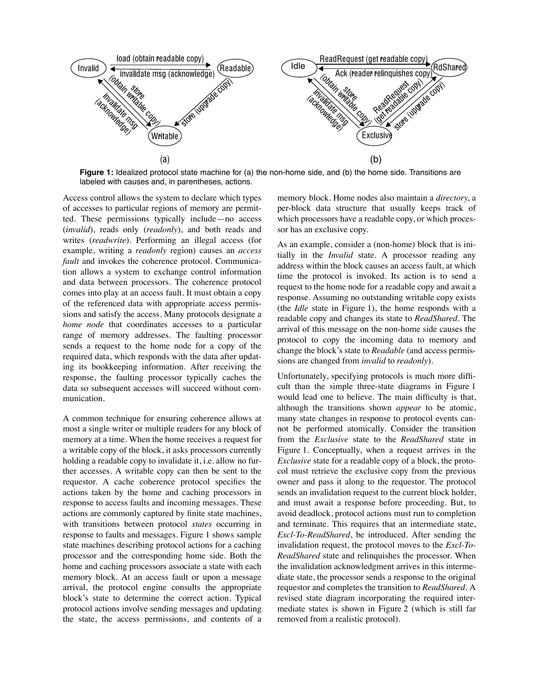

**Figure 1:** Idealized protocol state machine for (a) the non-home side, and (b) the home side. Transitions are labeled with causes and, in parentheses, actions.

Access control allows the system to declare which types of accesses to particular regions of memory are permitted. These permissions typically include—no access (*invalid*), reads only (*readonly*), and both reads and writes (*readwrite*). Performing an illegal access (for example, writing a *readonly* region) causes an *access fault* and invokes the coherence protocol. Communication allows a system to exchange control information and data between processors. The coherence protocol comes into play at an access fault. It must obtain a copy of the referenced data with appropriate access permissions and satisfy the access. Many protocols designate a *home node* that coordinates accesses to a particular range of memory addresses. The faulting processor sends a request to the home node for a copy of the required data, which responds with the data after updating its bookkeeping information. After receiving the response, the faulting processor typically caches the data so subsequent accesses will succeed without communication.

A common technique for ensuring coherence allows at most a single writer or multiple readers for any block of memory at a time. When the home receives a request for a writable copy of the block, it asks processors currently holding a readable copy to invalidate it, i.e. allow no further accesses. A writable copy can then be sent to the requestor. A cache coherence protocol specifies the actions taken by the home and caching processors in response to access faults and incoming messages. These actions are commonly captured by finite state machines, with transitions between protocol *states* occurring in response to faults and messages. Figure 1 shows sample state machines describing protocol actions for a caching processor and the corresponding home side. Both the home and caching processors associate a state with each memory block. At an access fault or upon a message arrival, the protocol engine consults the appropriate block's state to determine the correct action. Typical protocol actions involve sending messages and updating the state, the access permissions, and contents of a memory block. Home nodes also maintain a *directory*, a per-block data structure that usually keeps track of which processors have a readable copy, or which processor has an exclusive copy.

As an example, consider a (non-home) block that is initially in the *Invalid* state. A processor reading any address within the block causes an access fault, at which time the protocol is invoked. Its action is to send a request to the home node for a readable copy and await a response. Assuming no outstanding writable copy exists (the *Idle* state in Figure 1), the home responds with a readable copy and changes its state to *ReadShared*. The arrival of this message on the non-home side causes the protocol to copy the incoming data to memory and change the block's state to *Readable* (and access permissions are changed from *invalid* to *readonly*).

Unfortunately, specifying protocols is much more difficult than the simple three-state diagrams in Figure 1 would lead one to believe. The main difficulty is that, although the transitions shown *appear* to be atomic, many state changes in response to protocol events cannot be performed atomically. Consider the transition from the *Exclusive* state to the *ReadShared* state in Figure 1. Conceptually, when a request arrives in the *Exclusive* state for a readable copy of a block, the protocol must retrieve the exclusive copy from the previous owner and pass it along to the requestor. The protocol sends an invalidation request to the current block holder, and must await a response before proceeding. But, to avoid deadlock, protocol actions must run to completion and terminate. This requires that an intermediate state, *Excl-To-ReadShared*, be introduced. After sending the invalidation request, the protocol moves to the *Excl-To-ReadShared* state and relinquishes the processor. When the invalidation acknowledgment arrives in this intermediate state, the processor sends a response to the original requestor and completes the transition to *ReadShared*. A revised state diagram incorporating the required intermediate states is shown in Figure 2 (which is still far removed from a realistic protocol).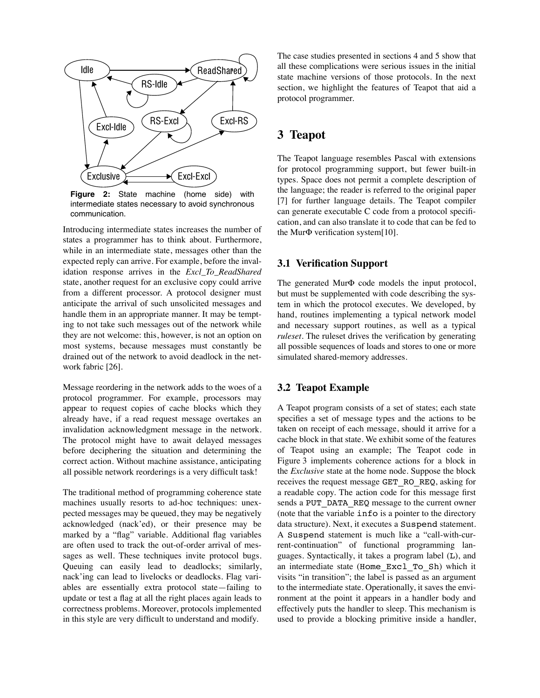

**Figure 2:** State machine (home side) with intermediate states necessary to avoid synchronous communication.

Introducing intermediate states increases the number of states a programmer has to think about. Furthermore, while in an intermediate state, messages other than the expected reply can arrive. For example, before the invalidation response arrives in the *Excl\_To\_ReadShared* state, another request for an exclusive copy could arrive from a different processor. A protocol designer must anticipate the arrival of such unsolicited messages and handle them in an appropriate manner. It may be tempting to not take such messages out of the network while they are not welcome: this, however, is not an option on most systems, because messages must constantly be drained out of the network to avoid deadlock in the network fabric [26].

Message reordering in the network adds to the woes of a protocol programmer. For example, processors may appear to request copies of cache blocks which they already have, if a read request message overtakes an invalidation acknowledgment message in the network. The protocol might have to await delayed messages before deciphering the situation and determining the correct action. Without machine assistance, anticipating all possible network reorderings is a very difficult task!

The traditional method of programming coherence state machines usually resorts to ad-hoc techniques: unexpected messages may be queued, they may be negatively acknowledged (nack'ed), or their presence may be marked by a "flag" variable. Additional flag variables are often used to track the out-of-order arrival of messages as well. These techniques invite protocol bugs. Queuing can easily lead to deadlocks; similarly, nack'ing can lead to livelocks or deadlocks. Flag variables are essentially extra protocol state—failing to update or test a flag at all the right places again leads to correctness problems. Moreover, protocols implemented in this style are very difficult to understand and modify.

The case studies presented in sections 4 and 5 show that all these complications were serious issues in the initial state machine versions of those protocols. In the next section, we highlight the features of Teapot that aid a protocol programmer.

### **3 Teapot**

The Teapot language resembles Pascal with extensions for protocol programming support, but fewer built-in types. Space does not permit a complete description of the language; the reader is referred to the original paper [7] for further language details. The Teapot compiler can generate executable C code from a protocol specification, and can also translate it to code that can be fed to the Mur $\Phi$  verification system[10].

#### **3.1 Verification Support**

The generated Mur $\Phi$  code models the input protocol, but must be supplemented with code describing the system in which the protocol executes. We developed, by hand, routines implementing a typical network model and necessary support routines, as well as a typical *ruleset*. The ruleset drives the verification by generating all possible sequences of loads and stores to one or more simulated shared-memory addresses.

#### **3.2 Teapot Example**

A Teapot program consists of a set of states; each state specifies a set of message types and the actions to be taken on receipt of each message, should it arrive for a cache block in that state. We exhibit some of the features of Teapot using an example; The Teapot code in Figure 3 implements coherence actions for a block in the *Exclusive* state at the home node. Suppose the block receives the request message GET\_RO\_REQ, asking for a readable copy. The action code for this message first sends a PUT\_DATA\_REQ message to the current owner (note that the variable info is a pointer to the directory data structure). Next, it executes a Suspend statement. A Suspend statement is much like a "call-with-current-continuation" of functional programming languages. Syntactically, it takes a program label (L), and an intermediate state (Home\_Excl\_To\_Sh) which it visits "in transition"; the label is passed as an argument to the intermediate state. Operationally, it saves the environment at the point it appears in a handler body and effectively puts the handler to sleep. This mechanism is used to provide a blocking primitive inside a handler,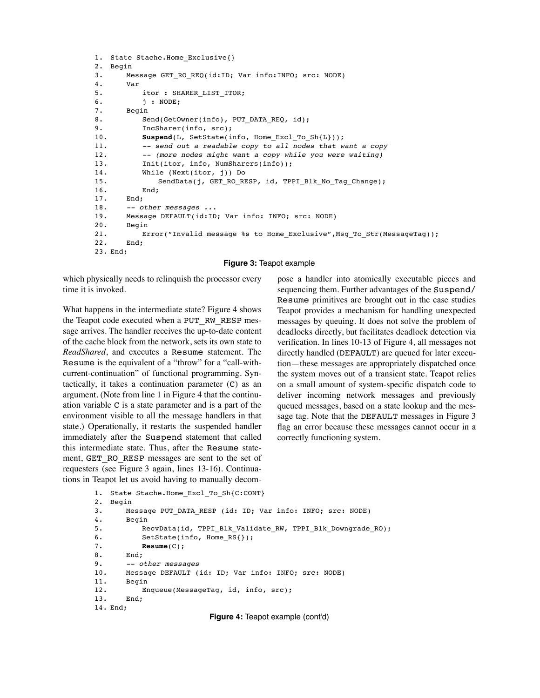```
1. State Stache.Home_Exclusive{}
2. Begin
3. Message GET RO REQ(id:ID; Var info:INFO; src: NODE)
4. Var
5. itor : SHARER_LIST_ITOR;
6. j : NODE;
7. Begin
8. Send(GetOwner(info), PUT DATA REQ, id);
9. IncSharer(info, src);
10. Suspend(L, SetState(info, Home Excl To Sh{L}));
11. -- send out a readable copy to all nodes that want a copy
12. -- (more nodes might want a copy while you were waiting)
13. Init(itor, info, NumSharers(info));
14. While (Next(itor, j)) Do
15. SendData(j, GET RO RESP, id, TPPI Blk No Tag Change);
16. End;
17. End;
18. -- other messages ...
19. Message DEFAULT(id:ID; Var info: INFO; src: NODE)
20. Begin
21. Error("Invalid message %s to Home Exclusive", Msg To Str(MessageTag));
22. End;
23. End;
```
#### **Figure 3:** Teapot example

which physically needs to relinquish the processor every time it is invoked.

What happens in the intermediate state? Figure 4 shows the Teapot code executed when a PUT\_RW\_RESP message arrives. The handler receives the up-to-date content of the cache block from the network, sets its own state to *ReadShared*, and executes a Resume statement. The Resume is the equivalent of a "throw" for a "call-withcurrent-continuation" of functional programming. Syntactically, it takes a continuation parameter (C) as an argument. (Note from line 1 in Figure 4 that the continuation variable C is a state parameter and is a part of the environment visible to all the message handlers in that state.) Operationally, it restarts the suspended handler immediately after the Suspend statement that called this intermediate state. Thus, after the Resume statement, GET\_RO\_RESP\_messages are sent to the set of requesters (see Figure 3 again, lines 13-16). Continuations in Teapot let us avoid having to manually decompose a handler into atomically executable pieces and sequencing them. Further advantages of the Suspend/ Resume primitives are brought out in the case studies Teapot provides a mechanism for handling unexpected messages by queuing. It does not solve the problem of deadlocks directly, but facilitates deadlock detection via verification. In lines 10-13 of Figure 4, all messages not directly handled (DEFAULT) are queued for later execution—these messages are appropriately dispatched once the system moves out of a transient state. Teapot relies on a small amount of system-specific dispatch code to deliver incoming network messages and previously queued messages, based on a state lookup and the message tag. Note that the DEFAULT messages in Figure 3 flag an error because these messages cannot occur in a correctly functioning system.

```
1. State Stache.Home_Excl_To_Sh{C:CONT}
2. Begin
3. Message PUT_DATA_RESP (id: ID; Var info: INFO; src: NODE)
4. Begin
5. RecvData(id, TPPI_Blk_Validate_RW, TPPI_Blk_Downgrade_RO);
6. SetState(info, Home_RS{});
7. Resume(C);
8. End;
9. -- other messages
10. Message DEFAULT (id: ID; Var info: INFO; src: NODE)
11. Begin
12. Enqueue(MessageTag, id, info, src);
13. End;
14. End;
```
**Figure 4:** Teapot example (cont'd)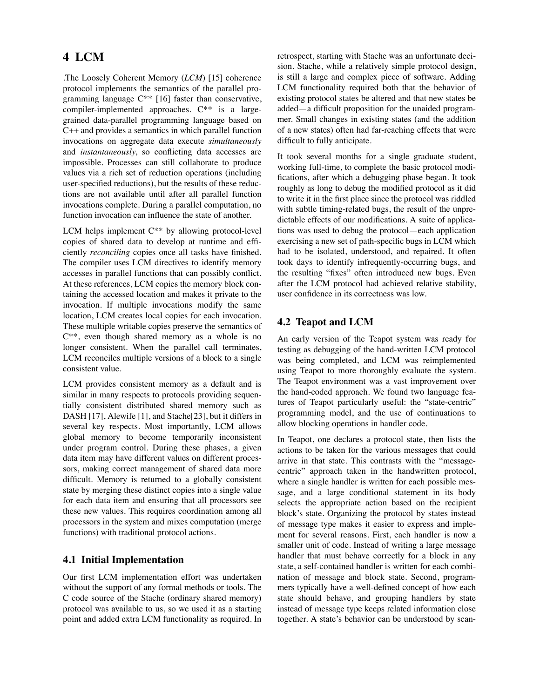## **4 LCM**

.The Loosely Coherent Memory (*LCM*) [15] coherence protocol implements the semantics of the parallel programming language  $C^{**}$  [16] faster than conservative, compiler-implemented approaches. C\*\* is a largegrained data-parallel programming language based on C++ and provides a semantics in which parallel function invocations on aggregate data execute *simultaneously* and *instantaneously*, so conflicting data accesses are impossible. Processes can still collaborate to produce values via a rich set of reduction operations (including user-specified reductions), but the results of these reductions are not available until after all parallel function invocations complete. During a parallel computation, no function invocation can influence the state of another.

LCM helps implement C<sup>\*\*</sup> by allowing protocol-level copies of shared data to develop at runtime and efficiently *reconciling* copies once all tasks have finished. The compiler uses LCM directives to identify memory accesses in parallel functions that can possibly conflict. At these references, LCM copies the memory block containing the accessed location and makes it private to the invocation. If multiple invocations modify the same location, LCM creates local copies for each invocation. These multiple writable copies preserve the semantics of  $C^{**}$ , even though shared memory as a whole is no longer consistent. When the parallel call terminates, LCM reconciles multiple versions of a block to a single consistent value.

LCM provides consistent memory as a default and is similar in many respects to protocols providing sequentially consistent distributed shared memory such as DASH [17], Alewife [1], and Stache[23], but it differs in several key respects. Most importantly, LCM allows global memory to become temporarily inconsistent under program control. During these phases, a given data item may have different values on different processors, making correct management of shared data more difficult. Memory is returned to a globally consistent state by merging these distinct copies into a single value for each data item and ensuring that all processors see these new values. This requires coordination among all processors in the system and mixes computation (merge functions) with traditional protocol actions.

#### **4.1 Initial Implementation**

Our first LCM implementation effort was undertaken without the support of any formal methods or tools. The C code source of the Stache (ordinary shared memory) protocol was available to us, so we used it as a starting point and added extra LCM functionality as required. In retrospect, starting with Stache was an unfortunate decision. Stache, while a relatively simple protocol design, is still a large and complex piece of software. Adding LCM functionality required both that the behavior of existing protocol states be altered and that new states be added—a difficult proposition for the unaided programmer. Small changes in existing states (and the addition of a new states) often had far-reaching effects that were difficult to fully anticipate.

It took several months for a single graduate student, working full-time, to complete the basic protocol modifications, after which a debugging phase began. It took roughly as long to debug the modified protocol as it did to write it in the first place since the protocol was riddled with subtle timing-related bugs, the result of the unpredictable effects of our modifications. A suite of applications was used to debug the protocol—each application exercising a new set of path-specific bugs in LCM which had to be isolated, understood, and repaired. It often took days to identify infrequently-occurring bugs, and the resulting "fixes" often introduced new bugs. Even after the LCM protocol had achieved relative stability, user confidence in its correctness was low.

### **4.2 Teapot and LCM**

An early version of the Teapot system was ready for testing as debugging of the hand-written LCM protocol was being completed, and LCM was reimplemented using Teapot to more thoroughly evaluate the system. The Teapot environment was a vast improvement over the hand-coded approach. We found two language features of Teapot particularly useful: the "state-centric" programming model, and the use of continuations to allow blocking operations in handler code.

In Teapot, one declares a protocol state, then lists the actions to be taken for the various messages that could arrive in that state. This contrasts with the "messagecentric" approach taken in the handwritten protocol, where a single handler is written for each possible message, and a large conditional statement in its body selects the appropriate action based on the recipient block's state. Organizing the protocol by states instead of message type makes it easier to express and implement for several reasons. First, each handler is now a smaller unit of code. Instead of writing a large message handler that must behave correctly for a block in any state, a self-contained handler is written for each combination of message and block state. Second, programmers typically have a well-defined concept of how each state should behave, and grouping handlers by state instead of message type keeps related information close together. A state's behavior can be understood by scan-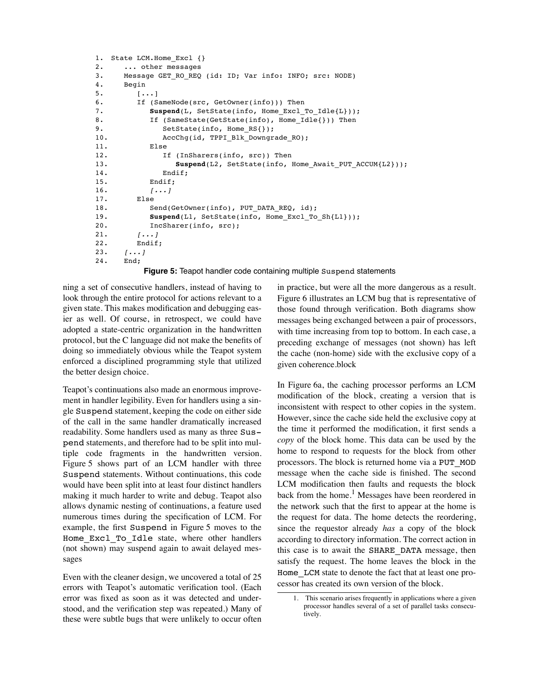```
1. State LCM. Home Excl {}
2. ... other messages
3. Message GET_RO_REQ (id: ID; Var info: INFO; src: NODE)
4. Begin
5. [...]
6. If (SameNode(src, GetOwner(info))) Then
7. Suspend(L, SetState(info, Home Excl To Idle{L}));
8. If (SameState(GetState(info), Home_Idle{})) Then
9. SetState(info, Home_RS{});
10. AccChg(id, TPPI Blk Downgrade RO);
11. Else
12. If (InSharers(info, src)) Then
13. Suspend(L2, SetState(info, Home Await PUT ACCUM{L2}));
14. Endif;
15. Endif;
16. [...]
17. Else
18. Send(GetOwner(info), PUT_DATA_REQ, id);
19. Suspend(L1, SetState(info, Home Excl To Sh{L1}));
20. IncSharer(info, src);
21. [...]
22. Endif;
23. [...]
24. End;
```
**Figure 5:** Teapot handler code containing multiple Suspend statements

ning a set of consecutive handlers, instead of having to look through the entire protocol for actions relevant to a given state. This makes modification and debugging easier as well. Of course, in retrospect, we could have adopted a state-centric organization in the handwritten protocol, but the C language did not make the benefits of doing so immediately obvious while the Teapot system enforced a disciplined programming style that utilized the better design choice.

Teapot's continuations also made an enormous improvement in handler legibility. Even for handlers using a single Suspend statement, keeping the code on either side of the call in the same handler dramatically increased readability. Some handlers used as many as three Suspend statements, and therefore had to be split into multiple code fragments in the handwritten version. Figure 5 shows part of an LCM handler with three Suspend statements. Without continuations, this code would have been split into at least four distinct handlers making it much harder to write and debug. Teapot also allows dynamic nesting of continuations, a feature used numerous times during the specification of LCM. For example, the first Suspend in Figure 5 moves to the Home Excl To Idle state, where other handlers (not shown) may suspend again to await delayed messages

Even with the cleaner design, we uncovered a total of 25 errors with Teapot's automatic verification tool. (Each error was fixed as soon as it was detected and understood, and the verification step was repeated.) Many of these were subtle bugs that were unlikely to occur often in practice, but were all the more dangerous as a result. Figure 6 illustrates an LCM bug that is representative of those found through verification. Both diagrams show messages being exchanged between a pair of processors, with time increasing from top to bottom. In each case, a preceding exchange of messages (not shown) has left the cache (non-home) side with the exclusive copy of a given coherence.block

In Figure 6a, the caching processor performs an LCM modification of the block, creating a version that is inconsistent with respect to other copies in the system. However, since the cache side held the exclusive copy at the time it performed the modification, it first sends a *copy* of the block home. This data can be used by the home to respond to requests for the block from other processors. The block is returned home via a PUT\_MOD message when the cache side is finished. The second LCM modification then faults and requests the block back from the home.<sup>1</sup> Messages have been reordered in the network such that the first to appear at the home is the request for data. The home detects the reordering, since the requestor already *has* a copy of the block according to directory information. The correct action in this case is to await the SHARE\_DATA message, then satisfy the request. The home leaves the block in the Home LCM state to denote the fact that at least one processor has created its own version of the block.

<sup>1.</sup> This scenario arises frequently in applications where a given processor handles several of a set of parallel tasks consecutively.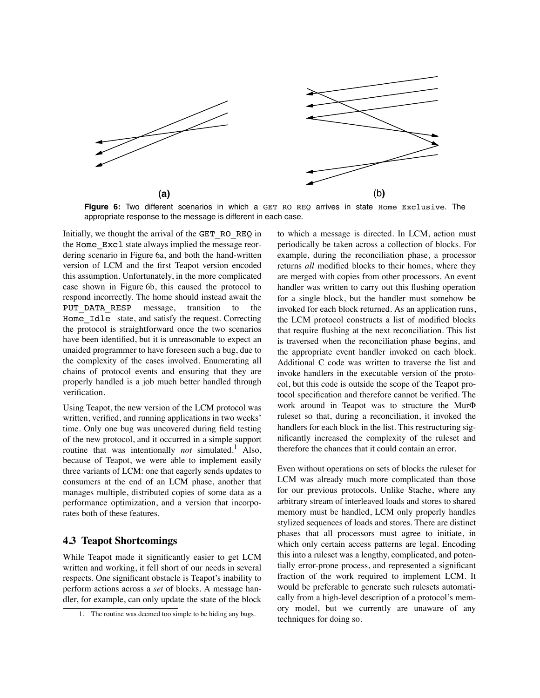

Figure 6: Two different scenarios in which a GET RO REQ arrives in state Home Exclusive. The appropriate response to the message is different in each case.

Initially, we thought the arrival of the GET\_RO\_REQ in the Home\_Excl state always implied the message reordering scenario in Figure 6a, and both the hand-written version of LCM and the first Teapot version encoded this assumption. Unfortunately, in the more complicated case shown in Figure 6b, this caused the protocol to respond incorrectly. The home should instead await the PUT DATA RESP message, transition to the Home\_Idle state, and satisfy the request. Correcting the protocol is straightforward once the two scenarios have been identified, but it is unreasonable to expect an unaided programmer to have foreseen such a bug, due to the complexity of the cases involved. Enumerating all chains of protocol events and ensuring that they are properly handled is a job much better handled through verification.

Using Teapot, the new version of the LCM protocol was written, verified, and running applications in two weeks' time. Only one bug was uncovered during field testing of the new protocol, and it occurred in a simple support routine that was intentionally *not* simulated.<sup>1</sup> Also, because of Teapot, we were able to implement easily three variants of LCM: one that eagerly sends updates to consumers at the end of an LCM phase, another that manages multiple, distributed copies of some data as a performance optimization, and a version that incorporates both of these features.

#### **4.3 Teapot Shortcomings**

While Teapot made it significantly easier to get LCM written and working, it fell short of our needs in several respects. One significant obstacle is Teapot's inability to perform actions across a *set* of blocks. A message handler, for example, can only update the state of the block to which a message is directed. In LCM, action must periodically be taken across a collection of blocks. For example, during the reconciliation phase, a processor returns *all* modified blocks to their homes, where they are merged with copies from other processors. An event handler was written to carry out this flushing operation for a single block, but the handler must somehow be invoked for each block returned. As an application runs, the LCM protocol constructs a list of modified blocks that require flushing at the next reconciliation. This list is traversed when the reconciliation phase begins, and the appropriate event handler invoked on each block. Additional C code was written to traverse the list and invoke handlers in the executable version of the protocol, but this code is outside the scope of the Teapot protocol specification and therefore cannot be verified. The work around in Teapot was to structure the Mur $\Phi$ ruleset so that, during a reconciliation, it invoked the handlers for each block in the list. This restructuring significantly increased the complexity of the ruleset and therefore the chances that it could contain an error.

Even without operations on sets of blocks the ruleset for LCM was already much more complicated than those for our previous protocols. Unlike Stache, where any arbitrary stream of interleaved loads and stores to shared memory must be handled, LCM only properly handles stylized sequences of loads and stores. There are distinct phases that all processors must agree to initiate, in which only certain access patterns are legal. Encoding this into a ruleset was a lengthy, complicated, and potentially error-prone process, and represented a significant fraction of the work required to implement LCM. It would be preferable to generate such rulesets automatically from a high-level description of a protocol's memory model, but we currently are unaware of any techniques for doing so.

<sup>1.</sup> The routine was deemed too simple to be hiding any bugs.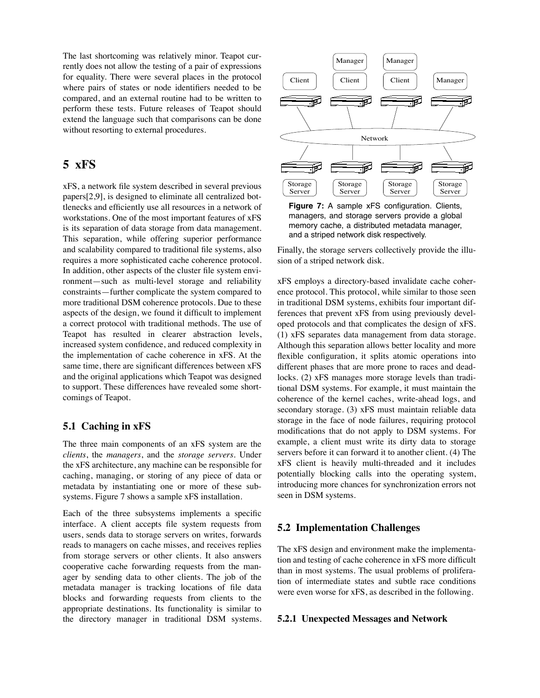The last shortcoming was relatively minor. Teapot currently does not allow the testing of a pair of expressions for equality. There were several places in the protocol where pairs of states or node identifiers needed to be compared, and an external routine had to be written to perform these tests. Future releases of Teapot should extend the language such that comparisons can be done without resorting to external procedures.

## **5 xFS**

xFS, a network file system described in several previous papers[2,9], is designed to eliminate all centralized bottlenecks and efficiently use all resources in a network of workstations. One of the most important features of xFS is its separation of data storage from data management. This separation, while offering superior performance and scalability compared to traditional file systems, also requires a more sophisticated cache coherence protocol. In addition, other aspects of the cluster file system environment—such as multi-level storage and reliability constraints—further complicate the system compared to more traditional DSM coherence protocols. Due to these aspects of the design, we found it difficult to implement a correct protocol with traditional methods. The use of Teapot has resulted in clearer abstraction levels, increased system confidence, and reduced complexity in the implementation of cache coherence in xFS. At the same time, there are significant differences between xFS and the original applications which Teapot was designed to support. These differences have revealed some shortcomings of Teapot.

### **5.1 Caching in xFS**

The three main components of an xFS system are the *clients*, the *managers*, and the *storage servers*. Under the xFS architecture, any machine can be responsible for caching, managing, or storing of any piece of data or metadata by instantiating one or more of these subsystems. Figure 7 shows a sample xFS installation.

Each of the three subsystems implements a specific interface. A client accepts file system requests from users, sends data to storage servers on writes, forwards reads to managers on cache misses, and receives replies from storage servers or other clients. It also answers cooperative cache forwarding requests from the manager by sending data to other clients. The job of the metadata manager is tracking locations of file data blocks and forwarding requests from clients to the appropriate destinations. Its functionality is similar to the directory manager in traditional DSM systems.



**Figure 7:** A sample xFS configuration. Clients, managers, and storage servers provide a global memory cache, a distributed metadata manager, and a striped network disk respectively.

Finally, the storage servers collectively provide the illusion of a striped network disk.

xFS employs a directory-based invalidate cache coherence protocol. This protocol, while similar to those seen in traditional DSM systems, exhibits four important differences that prevent xFS from using previously developed protocols and that complicates the design of xFS. (1) xFS separates data management from data storage. Although this separation allows better locality and more flexible configuration, it splits atomic operations into different phases that are more prone to races and deadlocks. (2) xFS manages more storage levels than traditional DSM systems. For example, it must maintain the coherence of the kernel caches, write-ahead logs, and secondary storage. (3) xFS must maintain reliable data storage in the face of node failures, requiring protocol modifications that do not apply to DSM systems. For example, a client must write its dirty data to storage servers before it can forward it to another client. (4) The xFS client is heavily multi-threaded and it includes potentially blocking calls into the operating system, introducing more chances for synchronization errors not seen in DSM systems.

#### **5.2 Implementation Challenges**

The xFS design and environment make the implementation and testing of cache coherence in xFS more difficult than in most systems. The usual problems of proliferation of intermediate states and subtle race conditions were even worse for xFS, as described in the following.

#### **5.2.1 Unexpected Messages and Network**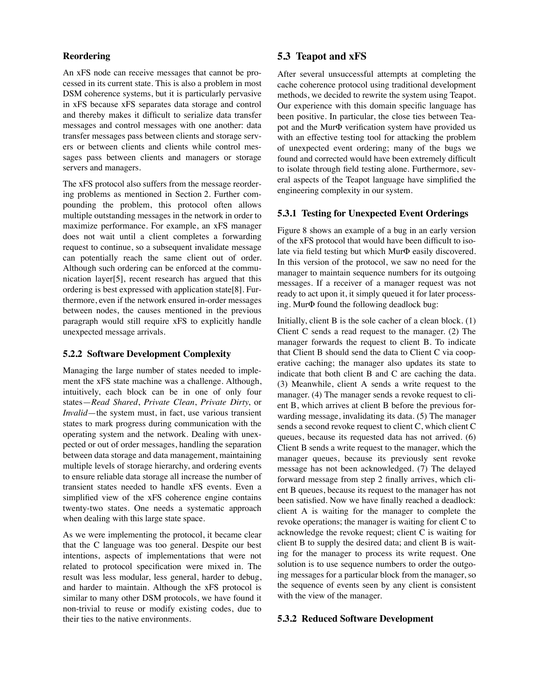#### **Reordering**

An xFS node can receive messages that cannot be processed in its current state. This is also a problem in most DSM coherence systems, but it is particularly pervasive in xFS because xFS separates data storage and control and thereby makes it difficult to serialize data transfer messages and control messages with one another: data transfer messages pass between clients and storage servers or between clients and clients while control messages pass between clients and managers or storage servers and managers.

The xFS protocol also suffers from the message reordering problems as mentioned in Section 2. Further compounding the problem, this protocol often allows multiple outstanding messages in the network in order to maximize performance. For example, an xFS manager does not wait until a client completes a forwarding request to continue, so a subsequent invalidate message can potentially reach the same client out of order. Although such ordering can be enforced at the communication layer[5], recent research has argued that this ordering is best expressed with application state[8]. Furthermore, even if the network ensured in-order messages between nodes, the causes mentioned in the previous paragraph would still require xFS to explicitly handle unexpected message arrivals.

#### **5.2.2 Software Development Complexity**

Managing the large number of states needed to implement the xFS state machine was a challenge. Although, intuitively, each block can be in one of only four states—*Read Shared*, *Private Clean*, *Private Dirty*, or *Invalid*—the system must, in fact, use various transient states to mark progress during communication with the operating system and the network. Dealing with unexpected or out of order messages, handling the separation between data storage and data management, maintaining multiple levels of storage hierarchy, and ordering events to ensure reliable data storage all increase the number of transient states needed to handle xFS events. Even a simplified view of the xFS coherence engine contains twenty-two states. One needs a systematic approach when dealing with this large state space.

As we were implementing the protocol, it became clear that the C language was too general. Despite our best intentions, aspects of implementations that were not related to protocol specification were mixed in. The result was less modular, less general, harder to debug, and harder to maintain. Although the xFS protocol is similar to many other DSM protocols, we have found it non-trivial to reuse or modify existing codes, due to their ties to the native environments.

#### **5.3 Teapot and xFS**

After several unsuccessful attempts at completing the cache coherence protocol using traditional development methods, we decided to rewrite the system using Teapot. Our experience with this domain specific language has been positive. In particular, the close ties between Teapot and the Mur $\Phi$  verification system have provided us with an effective testing tool for attacking the problem of unexpected event ordering; many of the bugs we found and corrected would have been extremely difficult to isolate through field testing alone. Furthermore, several aspects of the Teapot language have simplified the engineering complexity in our system.

#### **5.3.1 Testing for Unexpected Event Orderings**

Figure 8 shows an example of a bug in an early version of the xFS protocol that would have been difficult to isolate via field testing but which Mur $\Phi$  easily discovered. In this version of the protocol, we saw no need for the manager to maintain sequence numbers for its outgoing messages. If a receiver of a manager request was not ready to act upon it, it simply queued it for later processing. Mur $\Phi$  found the following deadlock bug:

Initially, client B is the sole cacher of a clean block. (1) Client C sends a read request to the manager. (2) The manager forwards the request to client B. To indicate that Client B should send the data to Client C via cooperative caching; the manager also updates its state to indicate that both client B and C are caching the data. (3) Meanwhile, client A sends a write request to the manager. (4) The manager sends a revoke request to client B, which arrives at client B before the previous forwarding message, invalidating its data. (5) The manager sends a second revoke request to client C, which client C queues, because its requested data has not arrived. (6) Client B sends a write request to the manager, which the manager queues, because its previously sent revoke message has not been acknowledged. (7) The delayed forward message from step 2 finally arrives, which client B queues, because its request to the manager has not been satisfied. Now we have finally reached a deadlock: client A is waiting for the manager to complete the revoke operations; the manager is waiting for client C to acknowledge the revoke request; client C is waiting for client B to supply the desired data; and client B is waiting for the manager to process its write request. One solution is to use sequence numbers to order the outgoing messages for a particular block from the manager, so the sequence of events seen by any client is consistent with the view of the manager.

#### **5.3.2 Reduced Software Development**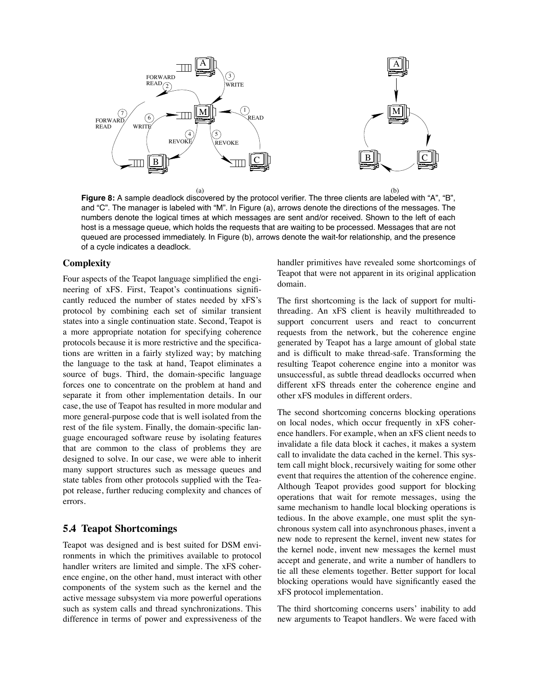

**Figure 8:** A sample deadlock discovered by the protocol verifier. The three clients are labeled with "A", "B", and "C". The manager is labeled with "M". In Figure (a), arrows denote the directions of the messages. The numbers denote the logical times at which messages are sent and/or received. Shown to the left of each host is a message queue, which holds the requests that are waiting to be processed. Messages that are not queued are processed immediately. In Figure (b), arrows denote the wait-for relationship, and the presence of a cycle indicates a deadlock. (a) (b)

#### **Complexity**

Four aspects of the Teapot language simplified the engineering of xFS. First, Teapot's continuations significantly reduced the number of states needed by xFS's protocol by combining each set of similar transient states into a single continuation state. Second, Teapot is a more appropriate notation for specifying coherence protocols because it is more restrictive and the specifications are written in a fairly stylized way; by matching the language to the task at hand, Teapot eliminates a source of bugs. Third, the domain-specific language forces one to concentrate on the problem at hand and separate it from other implementation details. In our case, the use of Teapot has resulted in more modular and more general-purpose code that is well isolated from the rest of the file system. Finally, the domain-specific language encouraged software reuse by isolating features that are common to the class of problems they are designed to solve. In our case, we were able to inherit many support structures such as message queues and state tables from other protocols supplied with the Teapot release, further reducing complexity and chances of errors.

### **5.4 Teapot Shortcomings**

Teapot was designed and is best suited for DSM environments in which the primitives available to protocol handler writers are limited and simple. The xFS coherence engine, on the other hand, must interact with other components of the system such as the kernel and the active message subsystem via more powerful operations such as system calls and thread synchronizations. This difference in terms of power and expressiveness of the handler primitives have revealed some shortcomings of Teapot that were not apparent in its original application domain.

The first shortcoming is the lack of support for multithreading. An xFS client is heavily multithreaded to support concurrent users and react to concurrent requests from the network, but the coherence engine generated by Teapot has a large amount of global state and is difficult to make thread-safe. Transforming the resulting Teapot coherence engine into a monitor was unsuccessful, as subtle thread deadlocks occurred when different xFS threads enter the coherence engine and other xFS modules in different orders.

The second shortcoming concerns blocking operations on local nodes, which occur frequently in xFS coherence handlers. For example, when an xFS client needs to invalidate a file data block it caches, it makes a system call to invalidate the data cached in the kernel. This system call might block, recursively waiting for some other event that requires the attention of the coherence engine. Although Teapot provides good support for blocking operations that wait for remote messages, using the same mechanism to handle local blocking operations is tedious. In the above example, one must split the synchronous system call into asynchronous phases, invent a new node to represent the kernel, invent new states for the kernel node, invent new messages the kernel must accept and generate, and write a number of handlers to tie all these elements together. Better support for local blocking operations would have significantly eased the xFS protocol implementation.

The third shortcoming concerns users' inability to add new arguments to Teapot handlers. We were faced with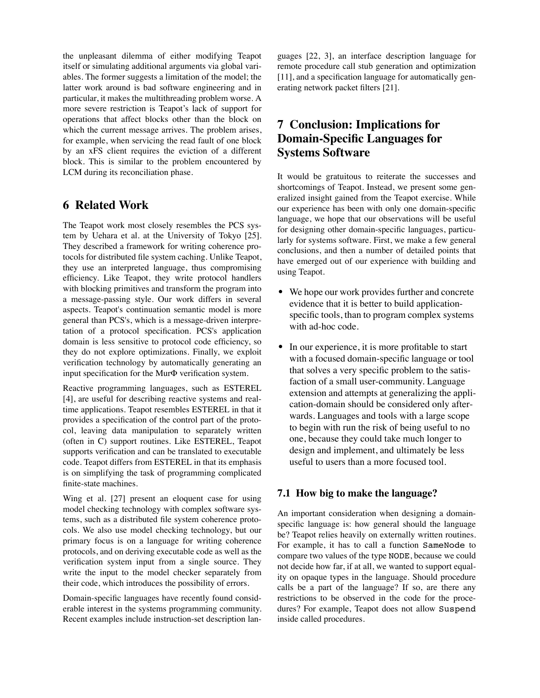the unpleasant dilemma of either modifying Teapot itself or simulating additional arguments via global variables. The former suggests a limitation of the model; the latter work around is bad software engineering and in particular, it makes the multithreading problem worse. A more severe restriction is Teapot's lack of support for operations that affect blocks other than the block on which the current message arrives. The problem arises, for example, when servicing the read fault of one block by an xFS client requires the eviction of a different block. This is similar to the problem encountered by LCM during its reconciliation phase.

### **6 Related Work**

The Teapot work most closely resembles the PCS system by Uehara et al. at the University of Tokyo [25]. They described a framework for writing coherence protocols for distributed file system caching. Unlike Teapot, they use an interpreted language, thus compromising efficiency. Like Teapot, they write protocol handlers with blocking primitives and transform the program into a message-passing style. Our work differs in several aspects. Teapot's continuation semantic model is more general than PCS's, which is a message-driven interpretation of a protocol specification. PCS's application domain is less sensitive to protocol code efficiency, so they do not explore optimizations. Finally, we exploit verification technology by automatically generating an input specification for the Mur $\Phi$  verification system.

Reactive programming languages, such as ESTEREL [4], are useful for describing reactive systems and realtime applications. Teapot resembles ESTEREL in that it provides a specification of the control part of the protocol, leaving data manipulation to separately written (often in C) support routines. Like ESTEREL, Teapot supports verification and can be translated to executable code. Teapot differs from ESTEREL in that its emphasis is on simplifying the task of programming complicated finite-state machines.

Wing et al. [27] present an eloquent case for using model checking technology with complex software systems, such as a distributed file system coherence protocols. We also use model checking technology, but our primary focus is on a language for writing coherence protocols, and on deriving executable code as well as the verification system input from a single source. They write the input to the model checker separately from their code, which introduces the possibility of errors.

Domain-specific languages have recently found considerable interest in the systems programming community. Recent examples include instruction-set description languages [22, 3], an interface description language for remote procedure call stub generation and optimization [11], and a specification language for automatically generating network packet filters [21].

## **7 Conclusion: Implications for Domain-Specific Languages for Systems Software**

It would be gratuitous to reiterate the successes and shortcomings of Teapot. Instead, we present some generalized insight gained from the Teapot exercise. While our experience has been with only one domain-specific language, we hope that our observations will be useful for designing other domain-specific languages, particularly for systems software. First, we make a few general conclusions, and then a number of detailed points that have emerged out of our experience with building and using Teapot.

- **•** We hope our work provides further and concrete evidence that it is better to build applicationspecific tools, than to program complex systems with ad-hoc code.
- **•** In our experience, it is more profitable to start with a focused domain-specific language or tool that solves a very specific problem to the satisfaction of a small user-community. Language extension and attempts at generalizing the application-domain should be considered only afterwards. Languages and tools with a large scope to begin with run the risk of being useful to no one, because they could take much longer to design and implement, and ultimately be less useful to users than a more focused tool.

### **7.1 How big to make the language?**

An important consideration when designing a domainspecific language is: how general should the language be? Teapot relies heavily on externally written routines. For example, it has to call a function SameNode to compare two values of the type NODE, because we could not decide how far, if at all, we wanted to support equality on opaque types in the language. Should procedure calls be a part of the language? If so, are there any restrictions to be observed in the code for the procedures? For example, Teapot does not allow Suspend inside called procedures.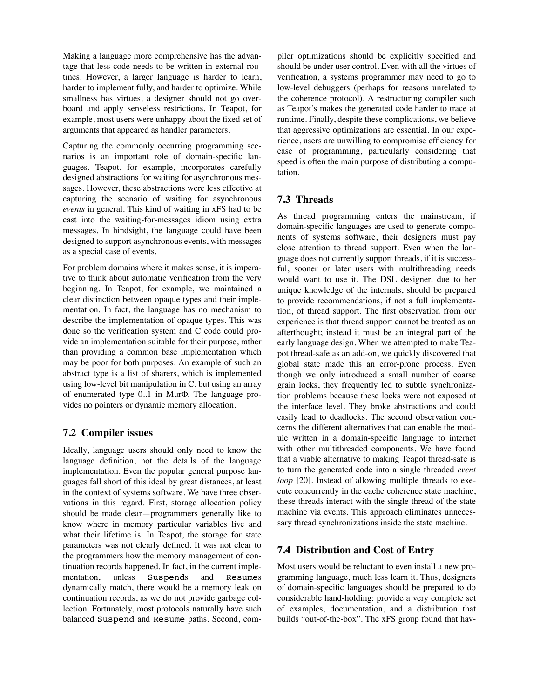Making a language more comprehensive has the advantage that less code needs to be written in external routines. However, a larger language is harder to learn, harder to implement fully, and harder to optimize. While smallness has virtues, a designer should not go overboard and apply senseless restrictions. In Teapot, for example, most users were unhappy about the fixed set of arguments that appeared as handler parameters.

Capturing the commonly occurring programming scenarios is an important role of domain-specific languages. Teapot, for example, incorporates carefully designed abstractions for waiting for asynchronous messages. However, these abstractions were less effective at capturing the scenario of waiting for asynchronous *events* in general. This kind of waiting in xFS had to be cast into the waiting-for-messages idiom using extra messages. In hindsight, the language could have been designed to support asynchronous events, with messages as a special case of events.

For problem domains where it makes sense, it is imperative to think about automatic verification from the very beginning. In Teapot, for example, we maintained a clear distinction between opaque types and their implementation. In fact, the language has no mechanism to describe the implementation of opaque types. This was done so the verification system and C code could provide an implementation suitable for their purpose, rather than providing a common base implementation which may be poor for both purposes. An example of such an abstract type is a list of sharers, which is implemented using low-level bit manipulation in C, but using an array of enumerated type  $0.1$  in Mur $\Phi$ . The language provides no pointers or dynamic memory allocation.

#### **7.2 Compiler issues**

Ideally, language users should only need to know the language definition, not the details of the language implementation. Even the popular general purpose languages fall short of this ideal by great distances, at least in the context of systems software. We have three observations in this regard. First, storage allocation policy should be made clear—programmers generally like to know where in memory particular variables live and what their lifetime is. In Teapot, the storage for state parameters was not clearly defined. It was not clear to the programmers how the memory management of continuation records happened. In fact, in the current implementation, unless Suspends and Resumes dynamically match, there would be a memory leak on continuation records, as we do not provide garbage collection. Fortunately, most protocols naturally have such balanced Suspend and Resume paths. Second, compiler optimizations should be explicitly specified and should be under user control. Even with all the virtues of verification, a systems programmer may need to go to low-level debuggers (perhaps for reasons unrelated to the coherence protocol). A restructuring compiler such as Teapot's makes the generated code harder to trace at runtime. Finally, despite these complications, we believe that aggressive optimizations are essential. In our experience, users are unwilling to compromise efficiency for ease of programming, particularly considering that speed is often the main purpose of distributing a computation.

### **7.3 Threads**

As thread programming enters the mainstream, if domain-specific languages are used to generate components of systems software, their designers must pay close attention to thread support. Even when the language does not currently support threads, if it is successful, sooner or later users with multithreading needs would want to use it. The DSL designer, due to her unique knowledge of the internals, should be prepared to provide recommendations, if not a full implementation, of thread support. The first observation from our experience is that thread support cannot be treated as an afterthought; instead it must be an integral part of the early language design. When we attempted to make Teapot thread-safe as an add-on, we quickly discovered that global state made this an error-prone process. Even though we only introduced a small number of coarse grain locks, they frequently led to subtle synchronization problems because these locks were not exposed at the interface level. They broke abstractions and could easily lead to deadlocks. The second observation concerns the different alternatives that can enable the module written in a domain-specific language to interact with other multithreaded components. We have found that a viable alternative to making Teapot thread-safe is to turn the generated code into a single threaded *event loop* [20]. Instead of allowing multiple threads to execute concurrently in the cache coherence state machine, these threads interact with the single thread of the state machine via events. This approach eliminates unnecessary thread synchronizations inside the state machine.

### **7.4 Distribution and Cost of Entry**

Most users would be reluctant to even install a new programming language, much less learn it. Thus, designers of domain-specific languages should be prepared to do considerable hand-holding: provide a very complete set of examples, documentation, and a distribution that builds "out-of-the-box". The xFS group found that hav-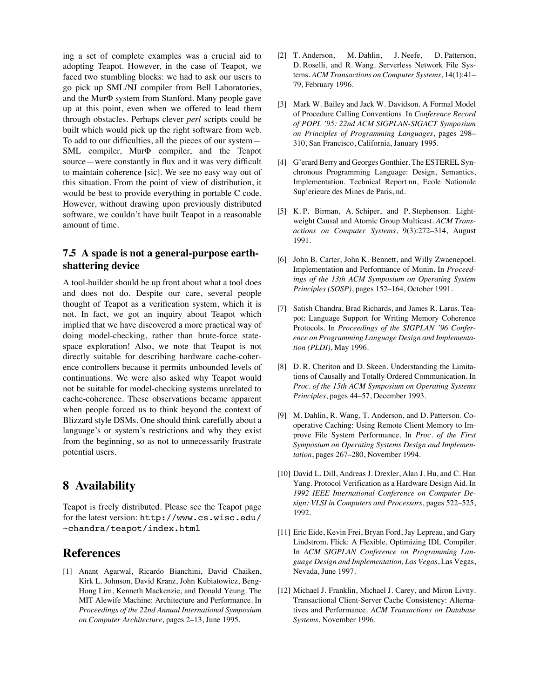ing a set of complete examples was a crucial aid to adopting Teapot. However, in the case of Teapot, we faced two stumbling blocks: we had to ask our users to go pick up SML/NJ compiler from Bell Laboratories, and the Mur $\Phi$  system from Stanford. Many people gave up at this point, even when we offered to lead them through obstacles. Perhaps clever *perl* scripts could be built which would pick up the right software from web. To add to our difficulties, all the pieces of our system—  $SML$  compiler, Mur $\Phi$  compiler, and the Teapot source—were constantly in flux and it was very difficult to maintain coherence [sic]. We see no easy way out of this situation. From the point of view of distribution, it would be best to provide everything in portable C code. However, without drawing upon previously distributed software, we couldn't have built Teapot in a reasonable amount of time.

### **7.5 A spade is not a general-purpose earthshattering device**

A tool-builder should be up front about what a tool does and does not do. Despite our care, several people thought of Teapot as a verification system, which it is not. In fact, we got an inquiry about Teapot which implied that we have discovered a more practical way of doing model-checking, rather than brute-force statespace exploration! Also, we note that Teapot is not directly suitable for describing hardware cache-coherence controllers because it permits unbounded levels of continuations. We were also asked why Teapot would not be suitable for model-checking systems unrelated to cache-coherence. These observations became apparent when people forced us to think beyond the context of Blizzard style DSMs. One should think carefully about a language's or system's restrictions and why they exist from the beginning, so as not to unnecessarily frustrate potential users.

## **8 Availability**

Teapot is freely distributed. Please see the Teapot page for the latest version: http://www.cs.wisc.edu/ ~chandra/teapot/index.html

## **References**

[1] Anant Agarwal, Ricardo Bianchini, David Chaiken, Kirk L. Johnson, David Kranz, John Kubiatowicz, Beng-Hong Lim, Kenneth Mackenzie, and Donald Yeung. The MIT Alewife Machine: Architecture and Performance. In *Proceedings of the 22nd Annual International Symposium on Computer Architecture*, pages 2–13, June 1995.

- [2] T. Anderson, M. Dahlin, J. Neefe, D. Patterson, D. Roselli, and R. Wang. Serverless Network File Systems. *ACM Transactions on Computer Systems*, 14(1):41– 79, February 1996.
- [3] Mark W. Bailey and Jack W. Davidson. A Formal Model of Procedure Calling Conventions. In *Conference Record of POPL '95: 22nd ACM SIGPLAN-SIGACT Symposium on Principles of Programming Languages*, pages 298– 310, San Francisco, California, January 1995.
- [4] G'erard Berry and Georges Gonthier. The ESTEREL Synchronous Programming Language: Design, Semantics, Implementation. Technical Report nn, Ecole Nationale Sup'erieure des Mines de Paris, nd.
- [5] K. P. Birman, A. Schiper, and P. Stephenson. Lightweight Causal and Atomic Group Multicast. *ACM Transactions on Computer Systems*, 9(3):272–314, August 1991.
- [6] John B. Carter, John K. Bennett, and Willy Zwaenepoel. Implementation and Performance of Munin. In *Proceedings of the 13th ACM Symposium on Operating System Principles (SOSP)*, pages 152–164, October 1991.
- [7] Satish Chandra, Brad Richards, and James R. Larus. Teapot: Language Support for Writing Memory Coherence Protocols. In *Proceedings of the SIGPLAN '96 Conference on Programming Language Design and Implementation (PLDI)*, May 1996.
- [8] D. R. Cheriton and D. Skeen. Understanding the Limitations of Causally and Totally Ordered Communication. In *Proc. of the 15th ACM Symposium on Operating Systems Principles*, pages 44–57, December 1993.
- [9] M. Dahlin, R. Wang, T. Anderson, and D. Patterson. Cooperative Caching: Using Remote Client Memory to Improve File System Performance. In *Proc. of the First Symposium on Operating Systems Design and Implementation*, pages 267–280, November 1994.
- [10] David L. Dill, Andreas J. Drexler, Alan J. Hu, and C. Han Yang. Protocol Verification as a Hardware Design Aid. In *1992 IEEE International Conference on Computer Design: VLSI in Computers and Processors*, pages 522–525, 1992.
- [11] Eric Eide, Kevin Frei, Bryan Ford, Jay Lepreau, and Gary Lindstrom. Flick: A Flexible, Optimizing IDL Compiler. In *ACM SIGPLAN Conference on Programming Language Design and Implementation, Las Vegas*, Las Vegas, Nevada, June 1997.
- [12] Michael J. Franklin, Michael J. Carey, and Miron Livny. Transactional Client-Server Cache Consistency: Alternatives and Performance. *ACM Transactions on Database Systems*, November 1996.